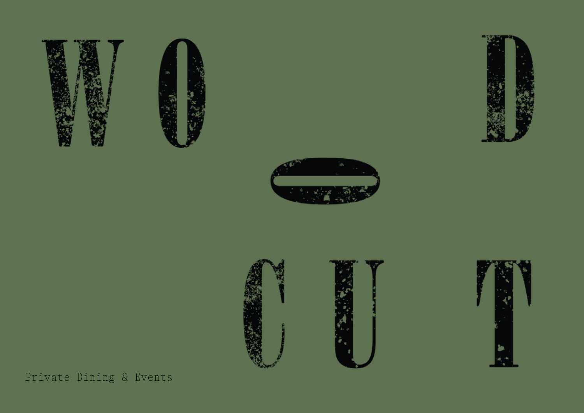











Private Dining & Events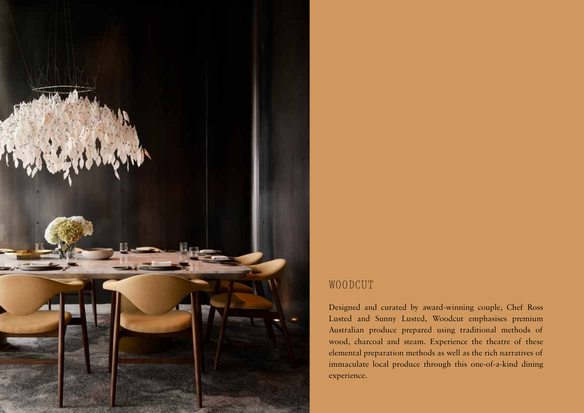

### WOODCUT

Designed and curated by award-winning couple, Chef Ross Lusted and Sunny Lusted, Woodcut emphasises premium Australian produce prepared using traditional methods of wood, charcoal and steam. Experience the theatre of these elemental preparation methods as well as the rich narratives of immaculate local produce through this one-of-a-kind dining experience.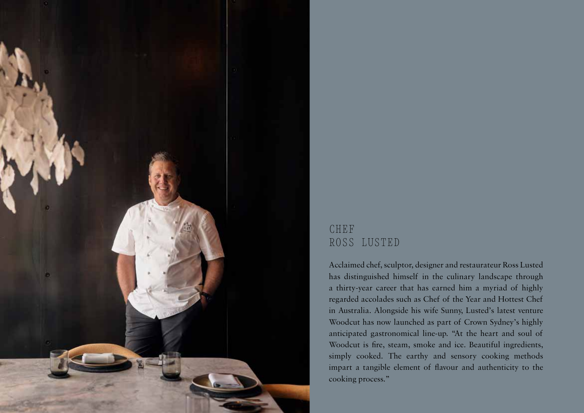

# CHEF ROSS LUSTED

Acclaimed chef, sculptor, designer and restaurateur Ross Lusted has distinguished himself in the culinary landscape through a thirty-year career that has earned him a myriad of highly regarded accolades such as Chef of the Year and Hottest Chef in Australia. Alongside his wife Sunny, Lusted's latest venture Woodcut has now launched as part of Crown Sydney's highly anticipated gastronomical line-up. "At the heart and soul of Woodcut is fire, steam, smoke and ice. Beautiful ingredients, simply cooked. The earthy and sensory cooking methods impart a tangible element of flavour and authenticity to the cooking process."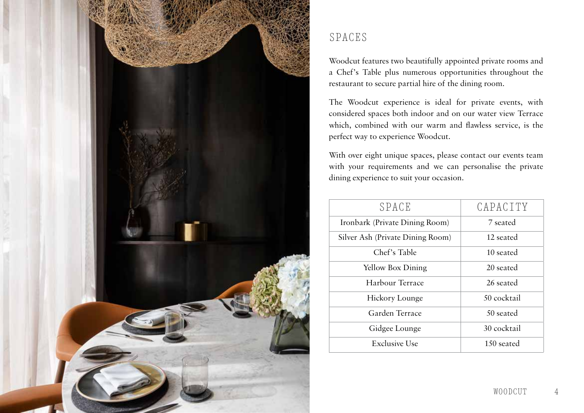

## SPACES

Woodcut features two beautifully appointed private rooms and a Chef's Table plus numerous opportunities throughout the restaurant to secure partial hire of the dining room.

The Woodcut experience is ideal for private events, with considered spaces both indoor and on our water view Terrace which, combined with our warm and flawless service, is the perfect way to experience Woodcut.

With over eight unique spaces, please contact our events team with your requirements and we can personalise the private dining experience to suit your occasion.

| SPACE                            | CAPACITY    |
|----------------------------------|-------------|
| Ironbark (Private Dining Room)   | 7 seated    |
| Silver Ash (Private Dining Room) | 12 seated   |
| Chef's Table                     | 10 seated   |
| <b>Yellow Box Dining</b>         | 20 seated   |
| Harbour Terrace                  | 26 seated   |
| Hickory Lounge                   | 50 cocktail |
| Garden Terrace                   | 50 seated   |
| Gidgee Lounge                    | 30 cocktail |
| <b>Exclusive Use</b>             | 150 seated  |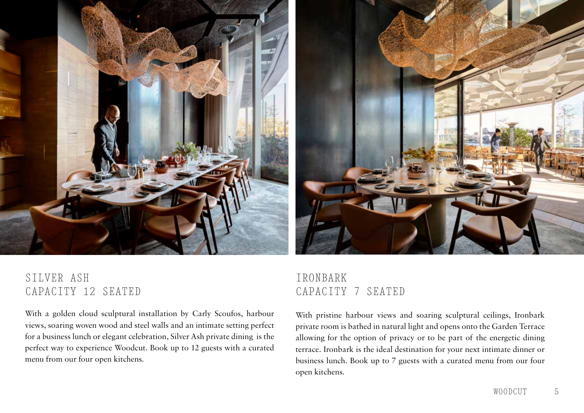



# SILVER ASH CAPACITY 12 SEATED

With a golden cloud sculptural installation by Carly Scoufos, harbour views, soaring woven wood and steel walls and an intimate setting perfect for a business lunch or elegant celebration, Silver Ash private dining is the perfect way to experience Woodcut. Book up to 12 guests with a curated menu from our four open kitchens.

# IRONBARK CAPACITY 7 SEATED

With pristine harbour views and soaring sculptural ceilings, Ironbark private room is bathed in natural light and opens onto the Garden Terrace allowing for the option of privacy or to be part of the energetic dining terrace. Ironbark is the ideal destination for your next intimate dinner or business lunch. Book up to 7 guests with a curated menu from our four open kitchens.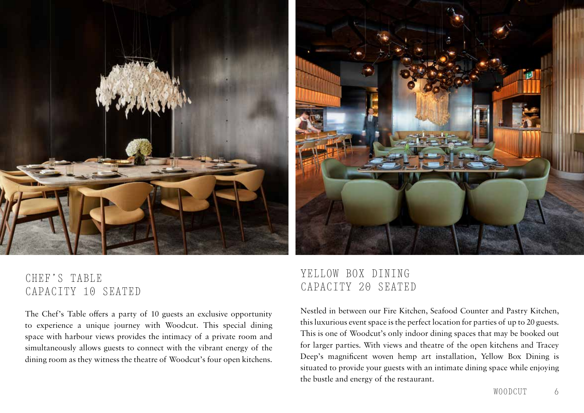



# CHEF'S TABLE CAPACITY 10 SEATED

The Chef's Table offers a party of 10 guests an exclusive opportunity to experience a unique journey with Woodcut. This special dining space with harbour views provides the intimacy of a private room and simultaneously allows guests to connect with the vibrant energy of the dining room as they witness the theatre of Woodcut's four open kitchens.

# YELLOW BOX DINING CAPACITY 20 SEATED

Nestled in between our Fire Kitchen, Seafood Counter and Pastry Kitchen, this luxurious event space is the perfect location for parties of up to 20 guests. This is one of Woodcut's only indoor dining spaces that may be booked out for larger parties. With views and theatre of the open kitchens and Tracey Deep's magnificent woven hemp art installation, Yellow Box Dining is situated to provide your guests with an intimate dining space while enjoying the bustle and energy of the restaurant.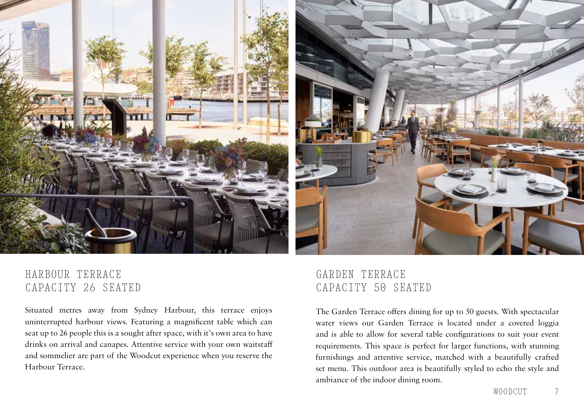

## HARBOUR TERRACE CAPACITY 26 SEATED

Situated metres away from Sydney Harbour, this terrace enjoys uninterrupted harbour views. Featuring a magnificent table which can seat up to 26 people this is a sought after space, with it's own area to have drinks on arrival and canapes. Attentive service with your own waitstaff and sommelier are part of the Woodcut experience when you reserve the Harbour Terrace.

# GARDEN TERRACE CAPACITY 50 SEATED

The Garden Terrace offers dining for up to 50 guests. With spectacular water views our Garden Terrace is located under a covered loggia and is able to allow for several table configurations to suit your event requirements. This space is perfect for larger functions, with stunning furnishings and attentive service, matched with a beautifully crafted set menu. This outdoor area is beautifully styled to echo the style and ambiance of the indoor dining room.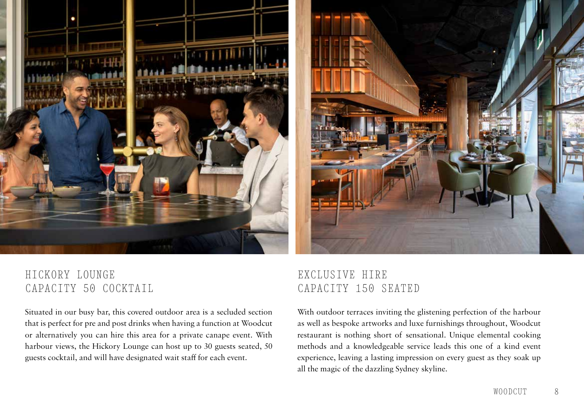

# HICKORY LOUNGE CAPACITY 50 COCKTAIL

Situated in our busy bar, this covered outdoor area is a secluded section that is perfect for pre and post drinks when having a function at Woodcut or alternatively you can hire this area for a private canape event. With harbour views, the Hickory Lounge can host up to 30 guests seated, 50 guests cocktail, and will have designated wait staff for each event.

## EXCLUSIVE HIRE CAPACITY 150 SEATED

With outdoor terraces inviting the glistening perfection of the harbour as well as bespoke artworks and luxe furnishings throughout, Woodcut restaurant is nothing short of sensational. Unique elemental cooking methods and a knowledgeable service leads this one of a kind event experience, leaving a lasting impression on every guest as they soak up all the magic of the dazzling Sydney skyline.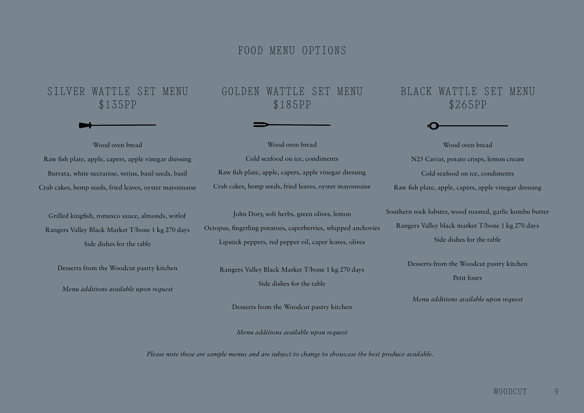### FOOD MENU OPTIONS

### SILVER WATTLE SET MENU \$135PP

Wood oven bread

Raw fish plate, apple, capers, apple vinegar dressing Burrata, white nectarine, verjus, basil seeds, basil Crab cakes, hemp seeds, fried leaves, oyster mayonnaise

Grilled kingfish, romesco sauce, almonds, witlof Rangers Valley Black Market T/bone 1 kg 270 days Side dishes for the table

Desserts from the Woodcut pastry kitchen

*Menu additions available upon request*

## GOLDEN WATTLE SET MENU \$185PP

Wood oven bread Cold seafood on ice, condiments Raw fish plate, apple, capers, apple vinegar dressing Crab cakes, hemp seeds, fried leaves, oyster mayonnaise

John Dory, soft herbs, green olives, lemon Octopus, fingerling potatoes, caperberries, whipped anchovies Lipstick peppers, red pepper oil, caper leaves, olives

Rangers Valley Black Market T/bone 1 kg 270 days Side dishes for the table

Desserts from the Woodcut pastry kitchen

*Menu additions available upon request*

*Please note these are sample menus and are subject to change to showcase the best produce available.*

## BLACK WATTLE SET MENU \$265PP

Wood oven bread N25 Caviar, potato crisps, lemon cream Cold seafood on ice, condiments Raw fish plate, apple, capers, apple vinegar dressing

Southern rock lobster, wood roasted, garlic kombu butter Rangers Valley black market T/bone 1 kg 270 days Side dishes for the table

> Desserts from the Woodcut pastry kitchen Petit fours

*Menu additions available upon request*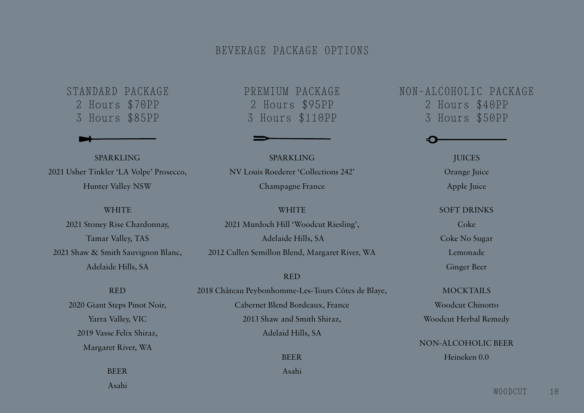### BEVERAGE PACKAGE OPTIONS

STANDARD PACKAGE 2 Hours \$70PP 3 Hours \$85PP

SPARKLING 2021 Usher Tinkler 'LA Volpe' Prosecco, Hunter Valley NSW

#### **WHITE**

2021 Stoney Rise Chardonnay, Tamar Valley, TAS 2021 Shaw & Smith Sauvignon Blanc, Adelaide Hills, SA

### RED

2020 Giant Steps Pinot Noir, Yarra Valley, VIC 2019 Vasse Felix Shiraz, Margaret River, WA

> BEER Asahi

PREMIUM PACKAGE 2 Hours \$95PP 3 Hours \$110PP

SPARKLING NV Louis Roederer 'Collections 242' Champagne France

#### **WHITE**

2021 Murdoch Hill 'Woodcut Riesling', Adelaide Hills, SA 2012 Cullen Semillon Blend, Margaret River, WA

#### RED

2018 Château Peybonhomme-Les-Tours Côtes de Blaye, Cabernet Blend Bordeaux, France 2013 Shaw and Smith Shiraz, Adelaid Hills, SA

### BEER

Asahi

## NON-ALCOHOLIC PACKAGE 2 Hours \$40PP 3 Hours \$50PP

JUICES Orange Juice Apple Juice

#### SOFT DRINKS

Coke Coke No Sugar Lemonade Ginger Beer

MOCKTAILS Woodcut Chinotto

Woodcut Herbal Remedy

NON-ALCOHOLIC BEER Heineken 0.0